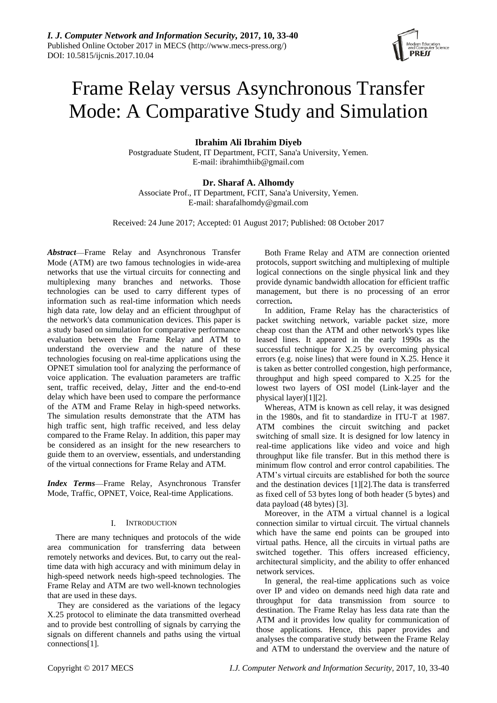

# Frame Relay versus Asynchronous Transfer Mode: A Comparative Study and Simulation

# **Ibrahim Ali Ibrahim Diyeb**

Postgraduate Student, IT Department, FCIT, Sana'a University, Yemen. E-mail: [ibrahimthiib@gmail.com](mailto:ibrahimthiib@gmail.com)

# **Dr. Sharaf A. Alhomdy**

Associate Prof., IT Department, FCIT, Sana'a University, Yemen. E-mail: [sharafalhomdy@gmail.com](mailto:sharafalhomdy@gmail.com)

Received: 24 June 2017; Accepted: 01 August 2017; Published: 08 October 2017

*Abstract*—Frame Relay and Asynchronous Transfer Mode (ATM) are two famous technologies in wide-area networks that use the virtual circuits for connecting and multiplexing many branches and networks. Those technologies can be used to carry different types of information such as real-time information which needs high data rate, low delay and an efficient throughput of the network's data communication devices. This paper is a study based on simulation for comparative performance evaluation between the Frame Relay and ATM to understand the overview and the nature of these technologies focusing on real-time applications using the OPNET simulation tool for analyzing the performance of voice application. The evaluation parameters are traffic sent, traffic received, delay, Jitter and the end-to-end delay which have been used to compare the performance of the ATM and Frame Relay in high-speed networks. The simulation results demonstrate that the ATM has high traffic sent, high traffic received, and less delay compared to the Frame Relay. In addition, this paper may be considered as an insight for the new researchers to guide them to an overview, essentials, and understanding of the virtual connections for Frame Relay and ATM.

*Index Terms*—Frame Relay, Asynchronous Transfer Mode, Traffic, OPNET, Voice, Real-time Applications.

# I. INTRODUCTION

There are many techniques and protocols of the wide area communication for transferring data between remotely networks and devices. But, to carry out the realtime data with high accuracy and with minimum delay in high-speed network needs high-speed technologies. The Frame Relay and ATM are two well-known technologies that are used in these days.

They are considered as the variations of the legacy X.25 protocol to eliminate the data transmitted overhead and to provide best controlling of signals by carrying the signals on different channels and paths using the virtual connections[1].

Both Frame Relay and ATM are connection oriented protocols, support switching and multiplexing of multiple logical connections on the single physical link and they provide dynamic bandwidth allocation for efficient traffic management, but there is no processing of an error correction**.**

In addition, Frame Relay has the characteristics of packet switching network, variable packet size, more cheap cost than the ATM and other network's types like leased lines. It appeared in the early 1990s as the successful technique for X.25 by overcoming physical errors (e.g. noise lines) that were found in X.25. Hence it is taken as better controlled congestion, high performance, throughput and high speed compared to X.25 for the lowest two layers of OSI model (Link-layer and the physical layer)[1][2].

Whereas, ATM is known as cell relay, it was designed in the 1980s, and fit to standardize in ITU-T at 1987. ATM combines the circuit switching and packet switching of small size. It is designed for low latency in real-time applications like video and voice and high throughput like file transfer. But in this method there is minimum flow control and error control capabilities. The ATM's virtual circuits are established for both the source and the destination devices [1][2].The data is transferred as fixed cell of 53 bytes long of both header (5 bytes) and data payload (48 bytes) [3].

Moreover, in the ATM a virtual channel is a logical connection similar to virtual circuit. The virtual channels which have the same end points can be grouped into virtual paths. Hence, all the circuits in virtual paths are switched together. This offers increased efficiency, architectural simplicity, and the ability to offer enhanced network services.

In general, the real-time applications such as voice over IP and video on demands need high data rate and throughput for data transmission from source to destination. The Frame Relay has less data rate than the ATM and it provides low quality for communication of those applications. Hence, this paper provides and analyses the comparative study between the Frame Relay and ATM to understand the overview and the nature of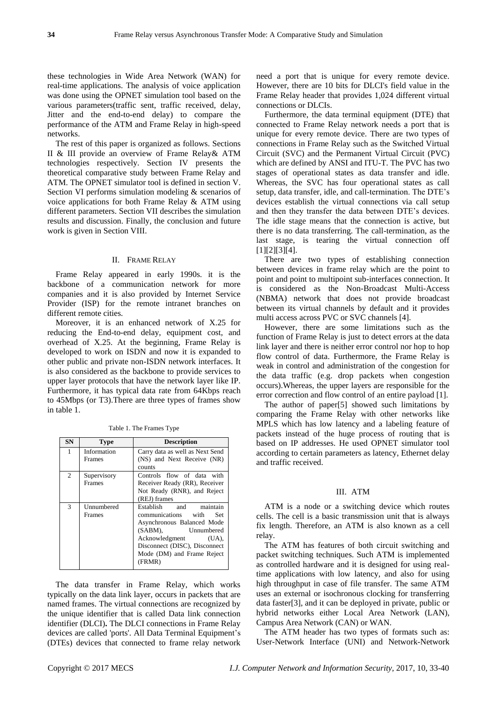these technologies in Wide Area Network (WAN) for real-time applications. The analysis of voice application was done using the OPNET simulation tool based on the various parameters(traffic sent, traffic received, delay, Jitter and the end-to-end delay) to compare the performance of the ATM and Frame Relay in high-speed networks.

The rest of this paper is organized as follows. Sections II & III provide an overview of Frame Relay& ATM technologies respectively. Section IV presents the theoretical comparative study between Frame Relay and ATM. The OPNET simulator tool is defined in section V. Section VI performs simulation modeling & scenarios of voice applications for both Frame Relay & ATM using different parameters. Section VII describes the simulation results and discussion. Finally, the conclusion and future work is given in Section VIII.

# II. FRAME RELAY

Frame Relay appeared in early 1990s. it is the backbone of a communication network for more companies and it is also provided by Internet Service Provider (ISP) for the remote intranet branches on different remote cities.

Moreover, it is an enhanced network of X.25 for reducing the End-to-end delay, equipment cost, and overhead of X.25. At the beginning, Frame Relay is developed to work on ISDN and now it is expanded to other public and private non-ISDN network interfaces. It is also considered as the backbone to provide services to upper layer protocols that have the network layer like IP. Furthermore, it has typical data rate from 64Kbps reach to 45Mbps (or T3).There are three types of frames show in table 1.

| <b>SN</b> | <b>Type</b> | <b>Description</b>              |  |  |
|-----------|-------------|---------------------------------|--|--|
| 1         | Information | Carry data as well as Next Send |  |  |
|           | Frames      | (NS) and Next Receive (NR)      |  |  |
|           |             | counts                          |  |  |
| 2         | Supervisory | Controls flow of data with      |  |  |
|           | Frames      | Receiver Ready (RR), Receiver   |  |  |
|           |             | Not Ready (RNR), and Reject     |  |  |
|           |             | (REJ) frames                    |  |  |
| 3         | Unnumbered  | Establish and<br>maintain       |  |  |
|           | Frames      | communications<br>with<br>Set   |  |  |
|           |             | Asynchronous Balanced Mode      |  |  |
|           |             | (SABM).<br>Unnumbered           |  |  |
|           |             | Acknowledgment<br>(UA),         |  |  |
|           |             | Disconnect (DISC), Disconnect   |  |  |
|           |             | Mode (DM) and Frame Reject      |  |  |
|           |             | (FRMR)                          |  |  |

Table 1. The Frames Type

The data transfer in Frame Relay, which works typically on the data link layer, occurs in packets that are named frames. The virtual connections are recognized by the unique identifier that is called Data link connection identifier (DLCI)**.** The DLCI connections in Frame Relay devices are called 'ports'. All Data Terminal Equipment's (DTEs) devices that connected to frame relay network

need a port that is unique for every remote device. However, there are 10 bits for DLCI's field value in the Frame Relay header that provides 1,024 different virtual connections or DLCIs.

Furthermore, the data terminal equipment (DTE) that connected to Frame Relay network needs a port that is unique for every remote device. There are two types of connections in Frame Relay such as the Switched Virtual Circuit (SVC) and the Permanent Virtual Circuit (PVC) which are defined by ANSI and ITU-T. The PVC has two stages of operational states as data transfer and idle. Whereas, the SVC has four operational states as call setup, data transfer, idle, and call-termination. The DTE's devices establish the virtual connections via call setup and then they transfer the data between DTE's devices. The idle stage means that the connection is active, but there is no data transferring. The call-termination, as the last stage, is tearing the virtual connection off [1][2][3][4].

There are two types of establishing connection between devices in frame relay which are the point to point and point to multipoint sub-interfaces connection. It is considered as the Non-Broadcast Multi-Access (NBMA) network that does not provide broadcast between its virtual channels by default and it provides multi access across PVC or SVC channels [4].

However, there are some limitations such as the function of Frame Relay is just to detect errors at the data link layer and there is neither error control nor hop to hop flow control of data. Furthermore, the Frame Relay is weak in control and administration of the congestion for the data traffic (e.g. drop packets when congestion occurs).Whereas, the upper layers are responsible for the error correction and flow control of an entire payload [1].

The author of paper[5] showed such limitations by comparing the Frame Relay with other networks like MPLS which has low latency and a labeling feature of packets instead of the huge process of routing that is based on IP addresses. He used OPNET simulator tool according to certain parameters as latency, Ethernet delay and traffic received.

## III. ATM

ATM is a node or a switching device which routes cells. The cell is a basic transmission unit that is always fix length. Therefore, an ATM is also known as a cell relay.

The ATM has features of both circuit switching and packet switching techniques. Such ATM is implemented as controlled hardware and it is designed for using realtime applications with low latency, and also for using high throughput in case of file transfer. The same ATM uses an external or isochronous clocking for transferring data faster[3], and it can be deployed in private, public or hybrid networks either Local Area Network (LAN), Campus Area Network (CAN) or WAN.

The ATM header has two types of formats such as: User-Network Interface (UNI) and Network-Network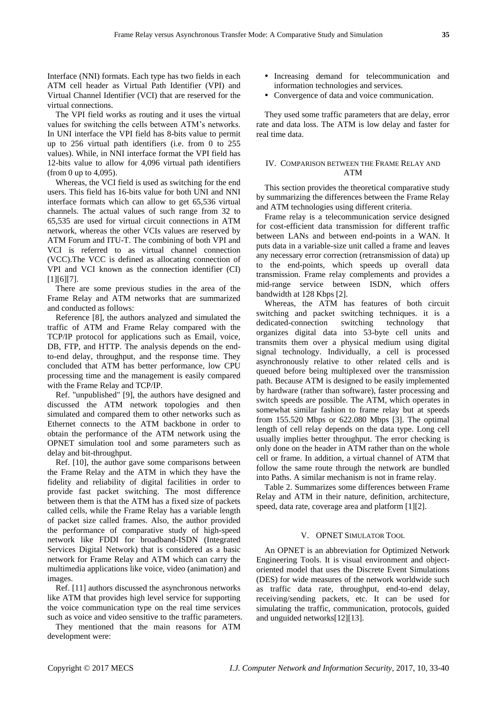Interface (NNI) formats. Each type has two fields in each ATM cell header as Virtual Path Identifier (VPI) and Virtual Channel Identifier (VCI) that are reserved for the virtual connections.

The VPI field works as routing and it uses the virtual values for switching the cells between ATM's networks. In UNI interface the VPI field has 8-bits value to permit up to 256 virtual path identifiers (i.e. from 0 to 255 values). While, in NNI interface format the VPI field has 12-bits value to allow for 4,096 virtual path identifiers (from 0 up to 4,095).

Whereas, the VCI field is used as switching for the end users. This field has 16-bits value for both UNI and NNI interface formats which can allow to get 65,536 virtual channels. The actual values of such range from 32 to 65,535 are used for virtual circuit connections in ATM network, whereas the other VCIs values are reserved by ATM Forum and ITU-T. The combining of both VPI and VCI is referred to as virtual channel connection (VCC).The VCC is defined as allocating connection of VPI and VCI known as the connection identifier (CI) [1][6][7].

There are some previous studies in the area of the Frame Relay and ATM networks that are summarized and conducted as follows:

Reference [8], the authors analyzed and simulated the traffic of ATM and Frame Relay compared with the TCP/IP protocol for applications such as Email, voice, DB, FTP, and HTTP. The analysis depends on the endto-end delay, throughput, and the response time. They concluded that ATM has better performance, low CPU processing time and the management is easily compared with the Frame Relay and TCP/IP.

Ref. "unpublished" [9], the authors have designed and discussed the ATM network topologies and then simulated and compared them to other networks such as Ethernet connects to the ATM backbone in order to obtain the performance of the ATM network using the OPNET simulation tool and some parameters such as delay and bit-throughput.

Ref. [10], the author gave some comparisons between the Frame Relay and the ATM in which they have the fidelity and reliability of digital facilities in order to provide fast packet switching. The most difference between them is that the ATM has a fixed size of packets called cells, while the Frame Relay has a variable length of packet size called frames. Also, the author provided the performance of comparative study of high-speed network like FDDI for broadband-ISDN (Integrated Services Digital Network) that is considered as a basic network for Frame Relay and ATM which can carry the multimedia applications like voice, video (animation) and images.

Ref. [11] authors discussed the asynchronous networks like ATM that provides high level service for supporting the voice communication type on the real time services such as voice and video sensitive to the traffic parameters.

They mentioned that the main reasons for ATM development were:

- Increasing demand for telecommunication and information technologies and services.
- Convergence of data and voice communication.

They used some traffic parameters that are delay, error rate and data loss. The ATM is low delay and faster for real time data.

## IV. COMPARISON BETWEEN THE FRAME RELAY AND ATM

This section provides the theoretical comparative study by summarizing the differences between the Frame Relay and ATM technologies using different criteria.

Frame relay is a telecommunication service designed for cost-efficient data transmission for different traffic between LANs and between end-points in a WAN. It puts data in a variable-size unit called a frame and leaves any necessary error correction (retransmission of data) up to the end-points, which speeds up overall data transmission. Frame relay complements and provides a mid-range service between ISDN, which offers bandwidth at 128 Kbps [2].

Whereas, the ATM has features of both circuit switching and packet switching techniques. it is a dedicated-connection switching technology that organizes digital data into 53-byte cell units and transmits them over a physical medium using digital signal technology. Individually, a cell is processed asynchronously relative to other related cells and is queued before being multiplexed over the transmission path. Because ATM is designed to be easily implemented by hardware (rather than software), faster processing and switch speeds are possible. The ATM, which operates in somewhat similar fashion to frame relay but at speeds from 155.520 Mbps or 622.080 Mbps [3]. The optimal length of cell relay depends on the data type. Long cell usually implies better throughput. The error checking is only done on the header in ATM rather than on the whole cell or frame. In addition, a virtual channel of ATM that follow the same route through the network are bundled into Paths. A similar mechanism is not in frame relay.

Table 2. Summarizes some differences between Frame Relay and ATM in their nature, definition, architecture, speed, data rate, coverage area and platform [1][2].

## V. OPNET SIMULATOR TOOL

An OPNET is an abbreviation for Optimized Network Engineering Tools. It is visual environment and objectoriented model that uses the Discrete Event Simulations (DES) for wide measures of the network worldwide such as traffic data rate, throughput, end-to-end delay, receiving/sending packets, etc. It can be used for simulating the traffic, communication, protocols, guided and unguided networks[12][13].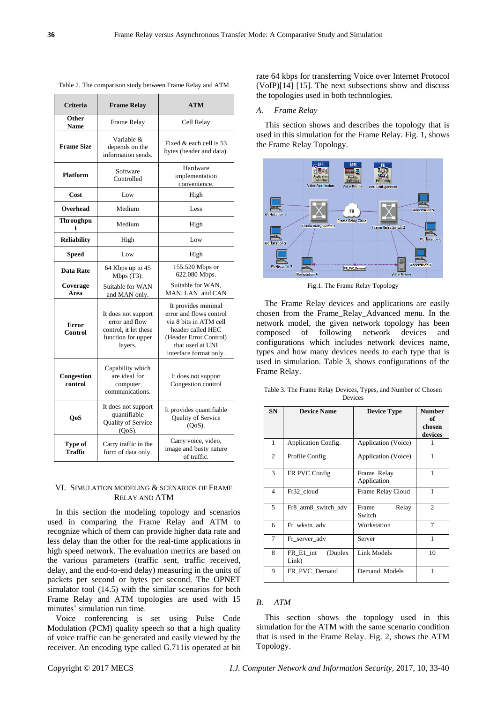| <b>Criteria</b>                                                                      | <b>Frame Relay</b>                                                                              | <b>ATM</b>                                                                                                                                                            |  |  |
|--------------------------------------------------------------------------------------|-------------------------------------------------------------------------------------------------|-----------------------------------------------------------------------------------------------------------------------------------------------------------------------|--|--|
| Other<br><b>Name</b>                                                                 | Frame Relay                                                                                     | Cell Relay                                                                                                                                                            |  |  |
| <b>Frame Size</b>                                                                    | Variable &<br>depends on the<br>information sends.                                              | Fixed & each cell is 53<br>bytes (header and data).                                                                                                                   |  |  |
| <b>Platform</b>                                                                      | Software<br>Controlled                                                                          | Hardware<br>implementation<br>convenience.                                                                                                                            |  |  |
| Cost                                                                                 | Low                                                                                             | High                                                                                                                                                                  |  |  |
| Overhead                                                                             | Medium                                                                                          | Less                                                                                                                                                                  |  |  |
| <b>Throughpu</b><br>t                                                                | Medium                                                                                          | High                                                                                                                                                                  |  |  |
| <b>Reliability</b>                                                                   | High                                                                                            | Low                                                                                                                                                                   |  |  |
| <b>Speed</b>                                                                         | Low                                                                                             | High                                                                                                                                                                  |  |  |
| <b>Data Rate</b>                                                                     | 64 Kbps up to 45<br>Mbps $(T3)$ .                                                               | 155.520 Mbps or<br>622.080 Mbps.                                                                                                                                      |  |  |
| Coverage<br>Area                                                                     | Suitable for WAN<br>and MAN only.                                                               | Suitable for WAN,<br>MAN, LAN and CAN                                                                                                                                 |  |  |
| Error<br>Control                                                                     | It does not support<br>error and flow<br>control, it let these<br>function for upper<br>layers. | It provides minimal<br>error and flows control<br>via 8 bits in ATM cell<br>header called HEC<br>(Header Error Control)<br>that used at UNI<br>interface format only. |  |  |
| Congestion<br>control                                                                | Capability which<br>are ideal for<br>computer<br>communications.                                | It does not support<br>Congestion control                                                                                                                             |  |  |
| It does not support<br>quantifiable<br><b>QoS</b><br>Quality of Service<br>$(QoS)$ . |                                                                                                 | It provides quantifiable<br>Quality of Service<br>$(QoS)$ .                                                                                                           |  |  |
| Type of<br><b>Traffic</b>                                                            | Carry traffic in the<br>form of data only.                                                      | Carry voice, video,<br>image and busty nature<br>of traffic.                                                                                                          |  |  |

Table 2. The comparison study between Frame Relay and ATM

rate 64 kbps for transferring Voice over Internet Protocol (VoIP)[14] [15]. The next subsections show and discuss the topologies used in both technologies.

#### *A. Frame Relay*

This section shows and describes the topology that is used in this simulation for the Frame Relay. Fig. 1, shows the Frame Relay Topology.



Fig.1. The Frame Relay Topology

The Frame Relay devices and applications are easily chosen from the Frame\_Relay\_Advanced menu. In the network model, the given network topology has been composed of following network devices and configurations which includes network devices name, types and how many devices needs to each type that is used in simulation. Table 3, shows configurations of the Frame Relay.

|         |  |  |  | Table 3. The Frame Relay Devices, Types, and Number of Chosen |  |  |  |  |  |
|---------|--|--|--|---------------------------------------------------------------|--|--|--|--|--|
| Devices |  |  |  |                                                               |  |  |  |  |  |

| <b>SN</b> | <b>Device Name</b>             | <b>Device Type</b>         | <b>Number</b><br>of<br>chosen<br>devices |
|-----------|--------------------------------|----------------------------|------------------------------------------|
| 1         | Application Config.            | Application (Voice)        |                                          |
| 2         | Profile Config                 | Application (Voice)        | 1                                        |
| 3         | FR PVC Config                  | Frame Relay<br>Application | 1                                        |
| 4         | Fr32 cloud                     | Frame Relay Cloud          | 1                                        |
| 5         | Fr8_atm8_switch_adv            | Frame<br>Relay<br>Switch   | 2                                        |
| 6         | Fr_wkstn_adv                   | Workstation                | 7                                        |
| 7         | Fr server adv                  | Server                     | 1                                        |
| 8         | (Duplex)<br>FR E1 int<br>Link) | Link Models                | 10                                       |
| 9         | FR PVC Demand                  | Demand Models              | 1                                        |

## *B. ATM*

This section shows the topology used in this simulation for the ATM with the same scenario condition that is used in the Frame Relay. Fig. 2, shows the ATM Topology.

# VI. SIMULATION MODELING & SCENARIOS OF FRAME RELAY AND ATM

In this section the modeling topology and scenarios used in comparing the Frame Relay and ATM to recognize which of them can provide higher data rate and less delay than the other for the real-time applications in high speed network. The evaluation metrics are based on the various parameters (traffic sent, traffic received, delay, and the end-to-end delay) measuring in the units of packets per second or bytes per second. The OPNET simulator tool (14.5) with the similar scenarios for both Frame Relay and ATM topologies are used with 15 minutes' simulation run time.

Voice conferencing is set using Pulse Code Modulation (PCM) quality speech so that a high quality of voice traffic can be generated and easily viewed by the receiver. An encoding type called G.711is operated at bit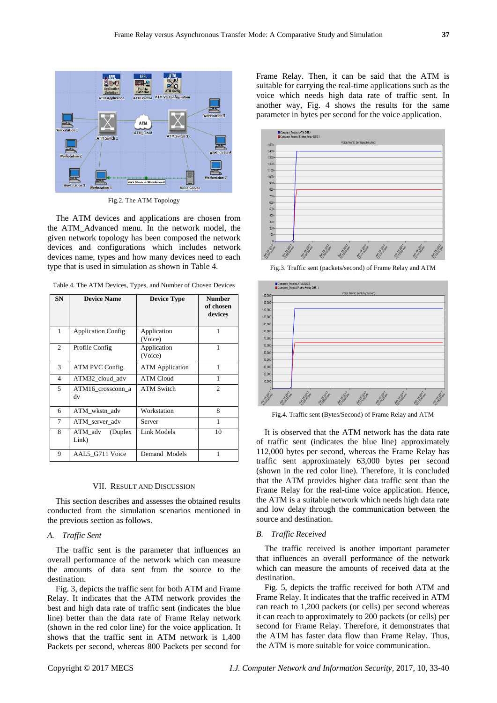

Fig.2. The ATM Topology

The ATM devices and applications are chosen from the ATM\_Advanced menu. In the network model, the given network topology has been composed the network devices and configurations which includes network devices name, types and how many devices need to each type that is used in simulation as shown in Table 4.

|      | Table 4. The ATM Devices, Types, and Number of Chosen Devices |                    |               |
|------|---------------------------------------------------------------|--------------------|---------------|
| SN . | <b>Device Name</b>                                            | <b>Device Type</b> | <b>Number</b> |

| SN | <b>Device Name</b>           | <b>Device Type</b>     | Number<br>of chosen<br>devices |
|----|------------------------------|------------------------|--------------------------------|
| 1  | <b>Application Config</b>    | Application<br>(Voice) | 1                              |
| 2  | Profile Config               | Application<br>(Voice) | 1                              |
| 3  | ATM PVC Config.              | <b>ATM</b> Application | 1                              |
| 4  | ATM32 cloud adv              | <b>ATM Cloud</b>       | 1                              |
| 5  | ATM16 crossconn a<br>dv      | <b>ATM Switch</b>      | $\mathcal{D}_{\mathcal{L}}$    |
| 6  | ATM_wkstn_adv                | Workstation            | 8                              |
| 7  | ATM server adv               | Server                 | 1                              |
| 8  | (Duplex)<br>ATM adv<br>Link) | Link Models            | 10                             |
| 9  | AAL5 G711 Voice              | Demand Models          |                                |

#### VII. RESULT AND DISCUSSION

This section describes and assesses the obtained results conducted from the simulation scenarios mentioned in the previous section as follows.

# *A. Traffic Sent*

The traffic sent is the parameter that influences an overall performance of the network which can measure the amounts of data sent from the source to the destination.

Fig. 3, depicts the traffic sent for both ATM and Frame Relay. It indicates that the ATM network provides the best and high data rate of traffic sent (indicates the blue line) better than the data rate of Frame Relay network (shown in the red color line) for the voice application. It shows that the traffic sent in ATM network is 1,400 Packets per second, whereas 800 Packets per second for

Frame Relay. Then, it can be said that the ATM is suitable for carrying the real-time applications such as the voice which needs high data rate of traffic sent. In another way, Fig. 4 shows the results for the same parameter in bytes per second for the voice application.



Fig.3. Traffic sent (packets/second) of Frame Relay and ATM



Fig.4. Traffic sent (Bytes/Second) of Frame Relay and ATM

It is observed that the ATM network has the data rate of traffic sent (indicates the blue line) approximately 112,000 bytes per second, whereas the Frame Relay has traffic sent approximately 63,000 bytes per second (shown in the red color line). Therefore, it is concluded that the ATM provides higher data traffic sent than the Frame Relay for the real-time voice application. Hence, the ATM is a suitable network which needs high data rate and low delay through the communication between the source and destination.

## *B. Traffic Received*

The traffic received is another important parameter that influences an overall performance of the network which can measure the amounts of received data at the destination.

Fig. 5, depicts the traffic received for both ATM and Frame Relay. It indicates that the traffic received in ATM can reach to 1,200 packets (or cells) per second whereas it can reach to approximately to 200 packets (or cells) per second for Frame Relay. Therefore, it demonstrates that the ATM has faster data flow than Frame Relay. Thus, the ATM is more suitable for voice communication.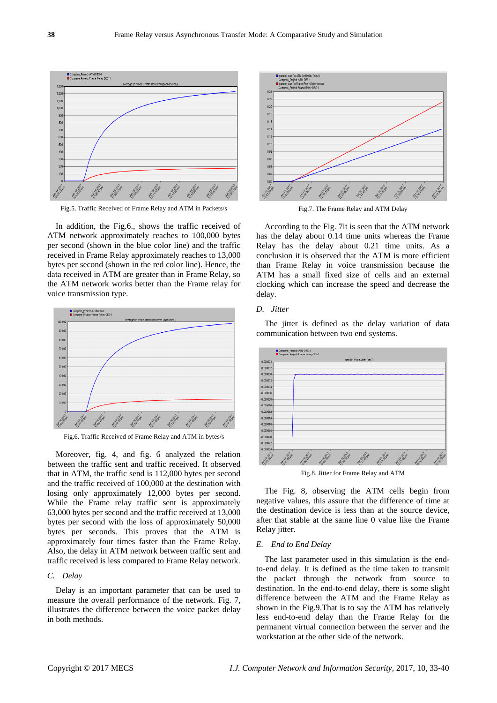

Fig.5. Traffic Received of Frame Relay and ATM in Packets/s

In addition, the Fig.6., shows the traffic received of ATM network approximately reaches to 100,000 bytes per second (shown in the blue color line) and the traffic received in Frame Relay approximately reaches to 13,000 bytes per second (shown in the red color line). Hence, the data received in ATM are greater than in Frame Relay, so the ATM network works better than the Frame relay for voice transmission type.



Fig.6. Traffic Received of Frame Relay and ATM in bytes/s

Moreover, fig. 4, and fig. 6 analyzed the relation between the traffic sent and traffic received. It observed that in ATM, the traffic send is 112,000 bytes per second and the traffic received of 100,000 at the destination with losing only approximately 12,000 bytes per second. While the Frame relay traffic sent is approximately 63,000 bytes per second and the traffic received at 13,000 bytes per second with the loss of approximately 50,000 bytes per seconds. This proves that the ATM is approximately four times faster than the Frame Relay. Also, the delay in ATM network between traffic sent and traffic received is less compared to Frame Relay network.

## *C. Delay*

Delay is an important parameter that can be used to measure the overall performance of the network. Fig. 7, illustrates the difference between the voice packet delay in both methods.



Fig.7. The Frame Relay and ATM Delay

According to the Fig. 7it is seen that the ATM network has the delay about 0.14 time units whereas the Frame Relay has the delay about 0.21 time units. As a conclusion it is observed that the ATM is more efficient than Frame Relay in voice transmission because the ATM has a small fixed size of cells and an external clocking which can increase the speed and decrease the delay.

# *D. Jitter*

The jitter is defined as the delay variation of data communication between two end systems.



Fig.8. Jitter for Frame Relay and ATM

The Fig. 8, observing the ATM cells begin from negative values, this assure that the difference of time at the destination device is less than at the source device, after that stable at the same line 0 value like the Frame Relay jitter.

# *E. End to End Delay*

The last parameter used in this simulation is the endto-end delay. It is defined as the time taken to transmit the packet through the network from source to destination. In the end-to-end delay, there is some slight difference between the ATM and the Frame Relay as shown in the Fig.9.That is to say the ATM has relatively less end-to-end delay than the Frame Relay for the permanent virtual connection between the server and the workstation at the other side of the network.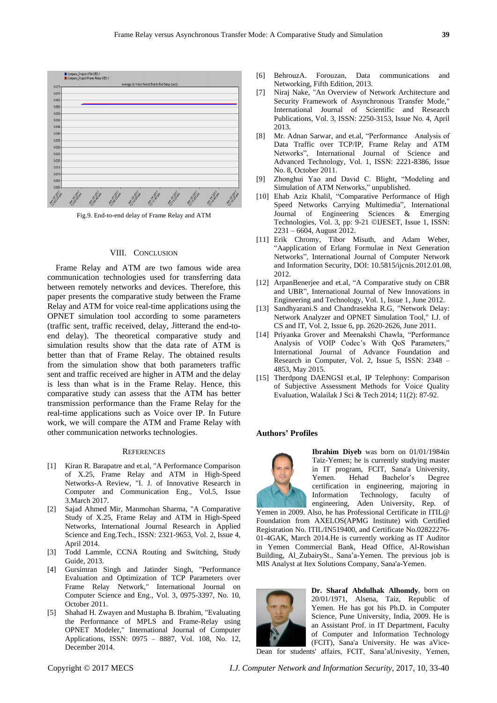

Fig.9. End-to-end delay of Frame Relay and ATM

### VIII. CONCLUSION

Frame Relay and ATM are two famous wide area communication technologies used for transferring data between remotely networks and devices. Therefore, this paper presents the comparative study between the Frame Relay and ATM for voice real-time applications using the OPNET simulation tool according to some parameters (traffic sent, traffic received, delay, Jitterand the end-toend delay). The theoretical comparative study and simulation results show that the data rate of ATM is better than that of Frame Relay. The obtained results from the simulation show that both parameters traffic sent and traffic received are higher in ATM and the delay is less than what is in the Frame Relay. Hence, this comparative study can assess that the ATM has better transmission performance than the Frame Relay for the real-time applications such as Voice over IP. In Future work, we will compare the ATM and Frame Relay with other communication networks technologies.

# **REFERENCES**

- [1] Kiran R. Barapatre and et.al, "A Performance Comparison of X.25, Frame Relay and ATM in High-Speed Networks-A Review, "I. J. of Innovative Research in Computer and Communication Eng., Vol.5, Issue 3.March 2017.
- [2] Sajad Ahmed Mir, Manmohan Sharma, "A Comparative Study of X.25, Frame Relay and ATM in High-Speed Networks, International Journal Research in Applied Science and Eng.Tech., ISSN: 2321-9653, Vol. 2, Issue 4, April 2014.
- [3] Todd Lammle, CCNA Routing and Switching, Study Guide, 2013.
- [4] Gursimran Singh and Jatinder Singh, "Performance Evaluation and Optimization of TCP Parameters over Frame Relay Network," International Journal on Computer Science and Eng., Vol. 3, 0975-3397, No. 10, October 2011.
- [5] Shahad H. Zwayen and Mustapha B. Ibrahim, "Evaluating the Performance of MPLS and Frame-Relay using OPNET Modeler," International Journal of Computer Applications, ISSN: 0975 *–* 8887, Vol. 108, No. 12, December 2014.
- [6] BehrouzA. Forouzan, Data communications and Networking, Fifth Edition, 2013.
- [7] Niraj Nake, "An Overview of Network Architecture and Security Framework of Asynchronous Transfer Mode," International Journal of Scientific and Research Publications, Vol. 3, ISSN: 2250-3153, Issue No. 4, April 2013.
- [8] Mr. Adnan Sarwar, and et.al, "Performance Analysis of Data Traffic over TCP/IP, Frame Relay and ATM Networks", International Journal of Science and Advanced Technology, Vol. 1, ISSN: 2221-8386, Issue No. 8, October 2011.
- [9] Zhonghui Yao and David C. Blight, "Modeling and Simulation of ATM Networks," unpublished.
- [10] Ehab Aziz Khalil, "Comparative Performance of High Speed Networks Carrying Multimedia", International Journal of Engineering Sciences & Emerging Technologies, Vol. 3, pp: 9-21 ©IJESET, Issue 1, ISSN: 2231 – 6604, August 2012.
- [11] Erik Chromy, Tibor Misuth, and Adam Weber, "Aapplication of Erlang Formulae in Next Generation Networks", International Journal of Computer Network and Information Security, DOI: 10.5815/ijcnis.2012.01.08, 2012.
- [12] ArpanBenerjee and et.al, "A Comparative study on CBR and UBR", International Journal of New Innovations in Engineering and Technology, Vol. 1, Issue 1, June 2012.
- [13] Sandhyarani.S and Chandrasekha R.G, "Network Delay: Network Analyzer and OPNET Simulation Tool," I.J. of CS and IT, Vol. 2, Issue 6, pp. 2620-2626, June 2011.
- [14] Privanka Grover and Meenakshi Chawla, "Performance" Analysis of VOIP Codec's With QoS Parameters," International Journal of Advance Foundation and Research in Computer, Vol. 2, Issue 5, ISSN: 2348 – 4853, May 2015.
- [15] Therdpong DAENGSI et.al, IP Telephony: Comparison of Subjective Assessment Methods for Voice Quality Evaluation, Walailak J Sci & Tech 2014; 11(2): 87-92.

## **Authors' Profiles**



**Ibrahim Diyeb** was born on 01/01/1984in Taiz-Yemen; he is currently studying master in IT program, FCIT, Sana'a University, Yemen. Hehad Bachelor's Degree certification in engineering, majoring in Information Technology, faculty of engineering, Aden University, Rep. of

Yemen in 2009. Also, he has Professional Certificate in ITIL@ Foundation from AXELOS(APMG Institute) with Certified Registration No. ITIL/IN519400, and Certificate No.02822276- 01-4GAK, March 2014.He is currently working as IT Auditor in Yemen Commercial Bank, Head Office, Al-Rowishan Building, Al ZubairySt., Sana'a-Yemen. The previous job is MIS Analyst at Itex Solutions Company, Sana'a-Yemen.



**Dr. Sharaf Abdulhak Alhomdy**, born on 20/01/1971, Alsena, Taiz, Republic of Yemen. He has got his Ph.D. in Computer Science, Pune University, India, 2009. He is an Assistant Prof. in IT Department, Faculty of Computer and Information Technology (FCIT), Sana'a University. He was aVice-

Dean for students' affairs, FCIT, Sana'aUnivesity, Yemen,

Copyright © 2017 MECS *I.J. Computer Network and Information Security,* 2017, 10, 33-40